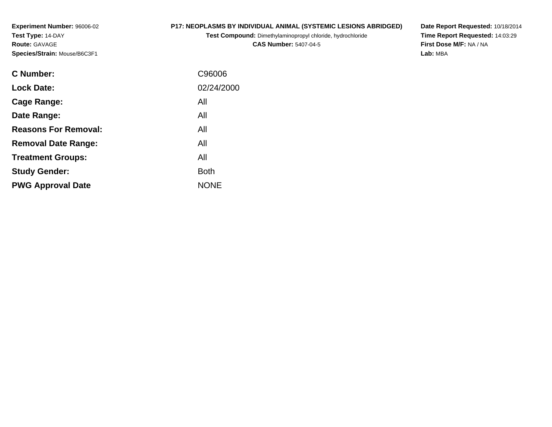**Experiment Number:** 96006-02**Test Type:** 14-DAY**Route:** GAVAGE**Species/Strain:** Mouse/B6C3F1

### **P17: NEOPLASMS BY INDIVIDUAL ANIMAL (SYSTEMIC LESIONS ABRIDGED)**

**Test Compound:** Dimethylaminopropyl chloride, hydrochloride

**CAS Number:** 5407-04-5

**Date Report Requested:** 10/18/2014 **Time Report Requested:** 14:03:29**First Dose M/F:** NA / NA**Lab:** MBA

| C Number:                   | C96006      |
|-----------------------------|-------------|
| <b>Lock Date:</b>           | 02/24/2000  |
| Cage Range:                 | All         |
| Date Range:                 | All         |
| <b>Reasons For Removal:</b> | All         |
| <b>Removal Date Range:</b>  | All         |
| <b>Treatment Groups:</b>    | All         |
| <b>Study Gender:</b>        | <b>Both</b> |
| <b>PWG Approval Date</b>    | <b>NONE</b> |
|                             |             |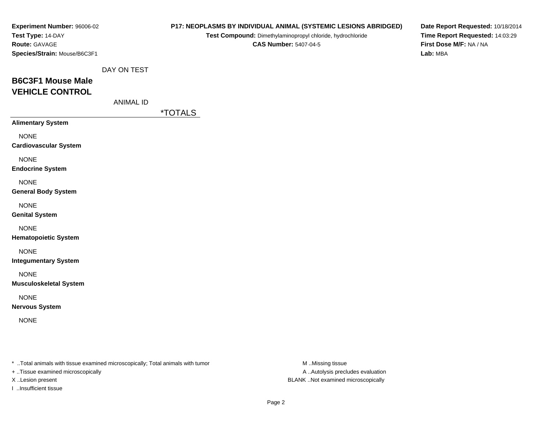| Experiment Number: 96006-02<br>Test Type: 14-DAY                               |                  |                       | P17: NEOPLASMS BY INDIVIDUAL ANIMAL (SYSTEMIC LESIONS ABRIDGED)<br>Test Compound: Dimethylaminopropyl chloride, hydrochloride | Date Report Requested: 10/18/2014<br>Time Report Requested: 14:03:29 |
|--------------------------------------------------------------------------------|------------------|-----------------------|-------------------------------------------------------------------------------------------------------------------------------|----------------------------------------------------------------------|
| Route: GAVAGE<br>Species/Strain: Mouse/B6C3F1                                  |                  |                       | <b>CAS Number: 5407-04-5</b>                                                                                                  | First Dose M/F: NA / NA<br>Lab: MBA                                  |
|                                                                                | DAY ON TEST      |                       |                                                                                                                               |                                                                      |
| <b>B6C3F1 Mouse Male</b><br><b>VEHICLE CONTROL</b>                             |                  |                       |                                                                                                                               |                                                                      |
|                                                                                | <b>ANIMAL ID</b> |                       |                                                                                                                               |                                                                      |
|                                                                                |                  | <i><b>*TOTALS</b></i> |                                                                                                                               |                                                                      |
| <b>Alimentary System</b>                                                       |                  |                       |                                                                                                                               |                                                                      |
| <b>NONE</b><br><b>Cardiovascular System</b>                                    |                  |                       |                                                                                                                               |                                                                      |
| <b>NONE</b><br><b>Endocrine System</b>                                         |                  |                       |                                                                                                                               |                                                                      |
| <b>NONE</b><br><b>General Body System</b>                                      |                  |                       |                                                                                                                               |                                                                      |
| <b>NONE</b><br><b>Genital System</b>                                           |                  |                       |                                                                                                                               |                                                                      |
| <b>NONE</b><br><b>Hematopoietic System</b>                                     |                  |                       |                                                                                                                               |                                                                      |
| <b>NONE</b><br><b>Integumentary System</b>                                     |                  |                       |                                                                                                                               |                                                                      |
| <b>NONE</b><br><b>Musculoskeletal System</b>                                   |                  |                       |                                                                                                                               |                                                                      |
| <b>NONE</b><br><b>Nervous System</b>                                           |                  |                       |                                                                                                                               |                                                                      |
| <b>NONE</b>                                                                    |                  |                       |                                                                                                                               |                                                                      |
|                                                                                |                  |                       |                                                                                                                               |                                                                      |
| * Total animals with tissue examined microscopically; Total animals with tumor |                  |                       | M Missing tissue                                                                                                              |                                                                      |

+ ..Tissue examined microscopically

I ..Insufficient tissue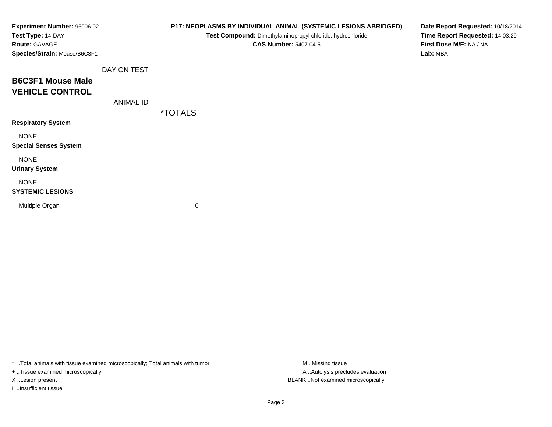| Experiment Number: 96006-02<br>Test Type: 14-DAY |                  |                       | P17: NEOPLASMS BY INDIVIDUAL ANIMAL (SYSTEMIC LESIONS ABRIDGED)<br>Test Compound: Dimethylaminopropyl chloride, hydrochloride | Date Report Requested: 10/18/2014<br>Time Report Requested: 14:03:29 |
|--------------------------------------------------|------------------|-----------------------|-------------------------------------------------------------------------------------------------------------------------------|----------------------------------------------------------------------|
| <b>Route: GAVAGE</b>                             |                  |                       | <b>CAS Number: 5407-04-5</b>                                                                                                  | First Dose M/F: NA / NA                                              |
| Species/Strain: Mouse/B6C3F1                     |                  |                       |                                                                                                                               | Lab: MBA                                                             |
|                                                  | DAY ON TEST      |                       |                                                                                                                               |                                                                      |
| <b>B6C3F1 Mouse Male</b>                         |                  |                       |                                                                                                                               |                                                                      |
| <b>VEHICLE CONTROL</b>                           |                  |                       |                                                                                                                               |                                                                      |
|                                                  | <b>ANIMAL ID</b> |                       |                                                                                                                               |                                                                      |
|                                                  |                  | <i><b>*TOTALS</b></i> |                                                                                                                               |                                                                      |
| <b>Respiratory System</b>                        |                  |                       |                                                                                                                               |                                                                      |
| <b>NONE</b>                                      |                  |                       |                                                                                                                               |                                                                      |
| <b>Special Senses System</b>                     |                  |                       |                                                                                                                               |                                                                      |
| <b>NONE</b>                                      |                  |                       |                                                                                                                               |                                                                      |
| <b>Urinary System</b>                            |                  |                       |                                                                                                                               |                                                                      |
| <b>NONE</b>                                      |                  |                       |                                                                                                                               |                                                                      |
| <b>SYSTEMIC LESIONS</b>                          |                  |                       |                                                                                                                               |                                                                      |
| Multiple Organ                                   |                  | 0                     |                                                                                                                               |                                                                      |
|                                                  |                  |                       |                                                                                                                               |                                                                      |

+ ..Tissue examined microscopically

I ..Insufficient tissue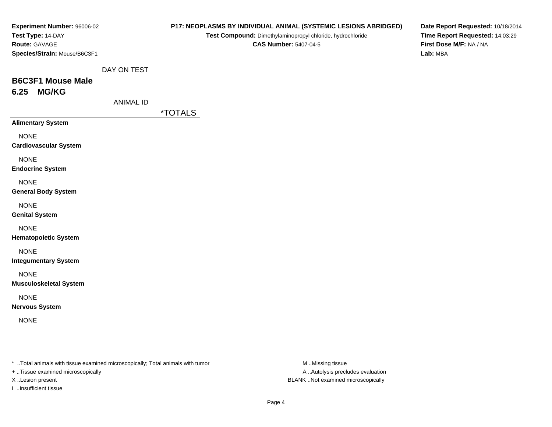| Experiment Number: 96006-02<br>Test Type: 14-DAY                                                                     | P17: NEOPLASMS BY INDIVIDUAL ANIMAL (SYSTEMIC LESIONS ABRIDGED)<br>Test Compound: Dimethylaminopropyl chloride, hydrochloride | Date Report Requested: 10/18/2014<br>Time Report Requested: 14:03:29 |
|----------------------------------------------------------------------------------------------------------------------|-------------------------------------------------------------------------------------------------------------------------------|----------------------------------------------------------------------|
| Route: GAVAGE<br>Species/Strain: Mouse/B6C3F1                                                                        | <b>CAS Number: 5407-04-5</b>                                                                                                  | First Dose M/F: NA / NA<br>Lab: MBA                                  |
|                                                                                                                      |                                                                                                                               |                                                                      |
| DAY ON TEST<br><b>B6C3F1 Mouse Male</b>                                                                              |                                                                                                                               |                                                                      |
| <b>MG/KG</b><br>6.25                                                                                                 |                                                                                                                               |                                                                      |
| <b>ANIMAL ID</b>                                                                                                     | <i><b>*TOTALS</b></i>                                                                                                         |                                                                      |
| <b>Alimentary System</b>                                                                                             |                                                                                                                               |                                                                      |
| <b>NONE</b><br><b>Cardiovascular System</b>                                                                          |                                                                                                                               |                                                                      |
| <b>NONE</b><br><b>Endocrine System</b>                                                                               |                                                                                                                               |                                                                      |
| <b>NONE</b><br><b>General Body System</b>                                                                            |                                                                                                                               |                                                                      |
| <b>NONE</b><br><b>Genital System</b>                                                                                 |                                                                                                                               |                                                                      |
| <b>NONE</b><br><b>Hematopoietic System</b>                                                                           |                                                                                                                               |                                                                      |
| <b>NONE</b><br><b>Integumentary System</b>                                                                           |                                                                                                                               |                                                                      |
| <b>NONE</b><br><b>Musculoskeletal System</b>                                                                         |                                                                                                                               |                                                                      |
| <b>NONE</b><br><b>Nervous System</b>                                                                                 |                                                                                                                               |                                                                      |
| <b>NONE</b>                                                                                                          |                                                                                                                               |                                                                      |
|                                                                                                                      |                                                                                                                               |                                                                      |
| *  Total animals with tissue examined microscopically; Total animals with tumor<br>+ Tissue examined microscopically |                                                                                                                               | M Missing tissue<br>A  Autolysis precludes evaluation                |

X ..Lesion present BLANK ..Not examined microscopically

I ..Insufficient tissue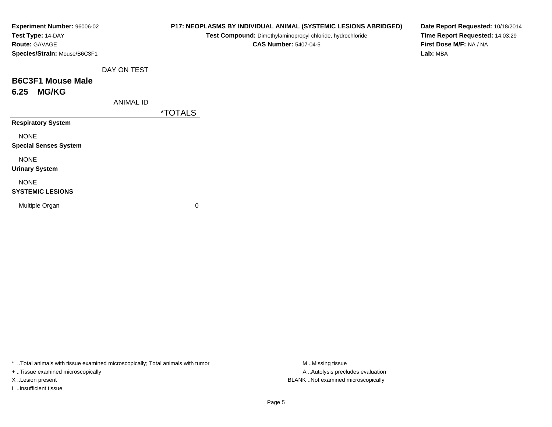| Experiment Number: 96006-02<br>Test Type: 14-DAY |                  |                       | P17: NEOPLASMS BY INDIVIDUAL ANIMAL (SYSTEMIC LESIONS ABRIDGED)<br>Test Compound: Dimethylaminopropyl chloride, hydrochloride | Date Report Requested: 10/18/2014<br>Time Report Requested: 14:03:29 |
|--------------------------------------------------|------------------|-----------------------|-------------------------------------------------------------------------------------------------------------------------------|----------------------------------------------------------------------|
| Route: GAVAGE                                    |                  |                       | <b>CAS Number: 5407-04-5</b>                                                                                                  | First Dose M/F: NA / NA                                              |
| Species/Strain: Mouse/B6C3F1                     |                  |                       |                                                                                                                               | Lab: MBA                                                             |
|                                                  | DAY ON TEST      |                       |                                                                                                                               |                                                                      |
| <b>B6C3F1 Mouse Male</b>                         |                  |                       |                                                                                                                               |                                                                      |
| <b>MG/KG</b><br>6.25                             |                  |                       |                                                                                                                               |                                                                      |
|                                                  | <b>ANIMAL ID</b> |                       |                                                                                                                               |                                                                      |
|                                                  |                  | <i><b>*TOTALS</b></i> |                                                                                                                               |                                                                      |
| <b>Respiratory System</b>                        |                  |                       |                                                                                                                               |                                                                      |
| <b>NONE</b>                                      |                  |                       |                                                                                                                               |                                                                      |
| <b>Special Senses System</b>                     |                  |                       |                                                                                                                               |                                                                      |
| <b>NONE</b>                                      |                  |                       |                                                                                                                               |                                                                      |
| <b>Urinary System</b>                            |                  |                       |                                                                                                                               |                                                                      |
| <b>NONE</b>                                      |                  |                       |                                                                                                                               |                                                                      |
| <b>SYSTEMIC LESIONS</b>                          |                  |                       |                                                                                                                               |                                                                      |
| Multiple Organ                                   |                  | 0                     |                                                                                                                               |                                                                      |
|                                                  |                  |                       |                                                                                                                               |                                                                      |
|                                                  |                  |                       |                                                                                                                               |                                                                      |

+ ..Tissue examined microscopically

I ..Insufficient tissue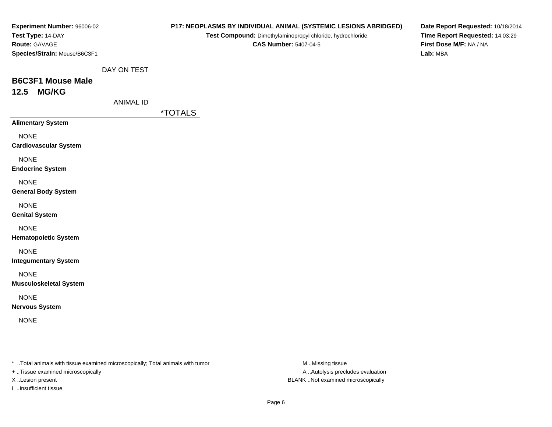| Experiment Number: 96006-02<br>Test Type: 14-DAY<br>Route: GAVAGE                                                    |                  |                       | Test Compound: Dimethylaminopropyl chloride, hydrochloride<br><b>CAS Number: 5407-04-5</b> | P17: NEOPLASMS BY INDIVIDUAL ANIMAL (SYSTEMIC LESIONS ABRIDGED) | Date Report Requested: 10/18/2014<br>Time Report Requested: 14:03:29<br>First Dose M/F: NA / NA |
|----------------------------------------------------------------------------------------------------------------------|------------------|-----------------------|--------------------------------------------------------------------------------------------|-----------------------------------------------------------------|-------------------------------------------------------------------------------------------------|
| Species/Strain: Mouse/B6C3F1                                                                                         |                  |                       |                                                                                            |                                                                 | Lab: MBA                                                                                        |
|                                                                                                                      | DAY ON TEST      |                       |                                                                                            |                                                                 |                                                                                                 |
| <b>B6C3F1 Mouse Male</b><br><b>MG/KG</b><br>12.5                                                                     |                  |                       |                                                                                            |                                                                 |                                                                                                 |
|                                                                                                                      | <b>ANIMAL ID</b> |                       |                                                                                            |                                                                 |                                                                                                 |
| <b>Alimentary System</b>                                                                                             |                  | <i><b>*TOTALS</b></i> |                                                                                            |                                                                 |                                                                                                 |
| <b>NONE</b><br><b>Cardiovascular System</b>                                                                          |                  |                       |                                                                                            |                                                                 |                                                                                                 |
| <b>NONE</b><br><b>Endocrine System</b>                                                                               |                  |                       |                                                                                            |                                                                 |                                                                                                 |
| <b>NONE</b><br><b>General Body System</b>                                                                            |                  |                       |                                                                                            |                                                                 |                                                                                                 |
| <b>NONE</b><br><b>Genital System</b>                                                                                 |                  |                       |                                                                                            |                                                                 |                                                                                                 |
| <b>NONE</b><br><b>Hematopoietic System</b>                                                                           |                  |                       |                                                                                            |                                                                 |                                                                                                 |
| <b>NONE</b><br><b>Integumentary System</b>                                                                           |                  |                       |                                                                                            |                                                                 |                                                                                                 |
| <b>NONE</b><br><b>Musculoskeletal System</b>                                                                         |                  |                       |                                                                                            |                                                                 |                                                                                                 |
| <b>NONE</b><br><b>Nervous System</b>                                                                                 |                  |                       |                                                                                            |                                                                 |                                                                                                 |
| <b>NONE</b>                                                                                                          |                  |                       |                                                                                            |                                                                 |                                                                                                 |
| *  Total animals with tissue examined microscopically; Total animals with tumor<br>+ Tissue examined microscopically |                  |                       |                                                                                            | M Missing tissue<br>A Autolysis precludes evaluation            |                                                                                                 |

X ..Lesion present BLANK ..Not examined microscopically

I ..Insufficient tissue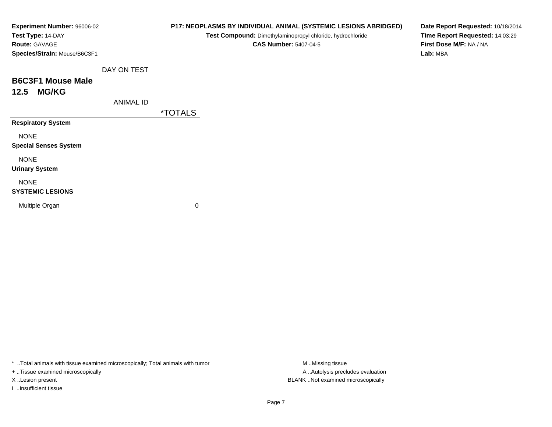|                  |                             | Test Compound: Dimethylaminopropyl chloride, hydrochloride |          |                                                                                                                                                                    |
|------------------|-----------------------------|------------------------------------------------------------|----------|--------------------------------------------------------------------------------------------------------------------------------------------------------------------|
|                  |                             | <b>CAS Number: 5407-04-5</b>                               |          |                                                                                                                                                                    |
|                  |                             |                                                            | Lab: MBA |                                                                                                                                                                    |
| DAY ON TEST      |                             |                                                            |          |                                                                                                                                                                    |
|                  |                             |                                                            |          |                                                                                                                                                                    |
|                  |                             |                                                            |          |                                                                                                                                                                    |
| <b>ANIMAL ID</b> |                             |                                                            |          |                                                                                                                                                                    |
|                  | <i><b>*TOTALS</b></i>       |                                                            |          |                                                                                                                                                                    |
|                  |                             |                                                            |          |                                                                                                                                                                    |
|                  |                             |                                                            |          |                                                                                                                                                                    |
|                  |                             |                                                            |          |                                                                                                                                                                    |
|                  |                             |                                                            |          |                                                                                                                                                                    |
|                  |                             |                                                            |          |                                                                                                                                                                    |
|                  |                             |                                                            |          |                                                                                                                                                                    |
|                  |                             |                                                            |          |                                                                                                                                                                    |
|                  |                             |                                                            |          |                                                                                                                                                                    |
|                  |                             |                                                            |          |                                                                                                                                                                    |
|                  | Experiment Number: 96006-02 |                                                            | 0        | P17: NEOPLASMS BY INDIVIDUAL ANIMAL (SYSTEMIC LESIONS ABRIDGED)<br>Date Report Requested: 10/18/2014<br>Time Report Requested: 14:03:29<br>First Dose M/F: NA / NA |

+ ..Tissue examined microscopically

I ..Insufficient tissue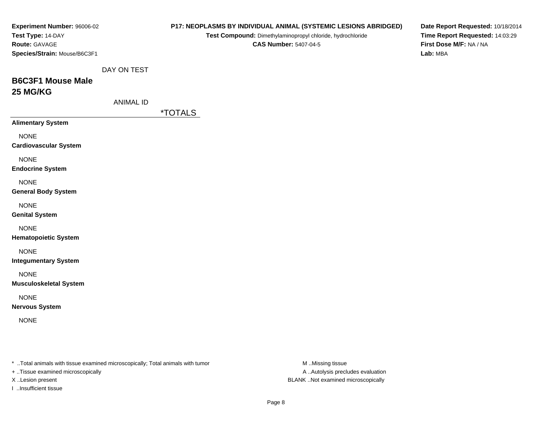| <b>Experiment Number: 96006-02</b>                                              |                  |                       |                              | <b>P17: NEOPLASMS BY INDIVIDUAL ANIMAL (SYSTEMIC LESIONS ABRIDGED)</b> | Date Report Requested: 10/18/2014 |
|---------------------------------------------------------------------------------|------------------|-----------------------|------------------------------|------------------------------------------------------------------------|-----------------------------------|
| Test Type: 14-DAY                                                               |                  |                       |                              | Test Compound: Dimethylaminopropyl chloride, hydrochloride             | Time Report Requested: 14:03:29   |
| Route: GAVAGE                                                                   |                  |                       | <b>CAS Number: 5407-04-5</b> |                                                                        | First Dose M/F: NA / NA           |
| Species/Strain: Mouse/B6C3F1                                                    |                  |                       |                              |                                                                        | Lab: MBA                          |
|                                                                                 |                  |                       |                              |                                                                        |                                   |
|                                                                                 | DAY ON TEST      |                       |                              |                                                                        |                                   |
| <b>B6C3F1 Mouse Male</b>                                                        |                  |                       |                              |                                                                        |                                   |
| 25 MG/KG                                                                        |                  |                       |                              |                                                                        |                                   |
|                                                                                 | <b>ANIMAL ID</b> |                       |                              |                                                                        |                                   |
|                                                                                 |                  |                       |                              |                                                                        |                                   |
|                                                                                 |                  | <i><b>*TOTALS</b></i> |                              |                                                                        |                                   |
| <b>Alimentary System</b>                                                        |                  |                       |                              |                                                                        |                                   |
| <b>NONE</b>                                                                     |                  |                       |                              |                                                                        |                                   |
| <b>Cardiovascular System</b>                                                    |                  |                       |                              |                                                                        |                                   |
|                                                                                 |                  |                       |                              |                                                                        |                                   |
| <b>NONE</b>                                                                     |                  |                       |                              |                                                                        |                                   |
| <b>Endocrine System</b>                                                         |                  |                       |                              |                                                                        |                                   |
| <b>NONE</b>                                                                     |                  |                       |                              |                                                                        |                                   |
| <b>General Body System</b>                                                      |                  |                       |                              |                                                                        |                                   |
|                                                                                 |                  |                       |                              |                                                                        |                                   |
| <b>NONE</b>                                                                     |                  |                       |                              |                                                                        |                                   |
| <b>Genital System</b>                                                           |                  |                       |                              |                                                                        |                                   |
| <b>NONE</b>                                                                     |                  |                       |                              |                                                                        |                                   |
| <b>Hematopoietic System</b>                                                     |                  |                       |                              |                                                                        |                                   |
|                                                                                 |                  |                       |                              |                                                                        |                                   |
| <b>NONE</b>                                                                     |                  |                       |                              |                                                                        |                                   |
| <b>Integumentary System</b>                                                     |                  |                       |                              |                                                                        |                                   |
| <b>NONE</b>                                                                     |                  |                       |                              |                                                                        |                                   |
| <b>Musculoskeletal System</b>                                                   |                  |                       |                              |                                                                        |                                   |
|                                                                                 |                  |                       |                              |                                                                        |                                   |
| <b>NONE</b>                                                                     |                  |                       |                              |                                                                        |                                   |
| <b>Nervous System</b>                                                           |                  |                       |                              |                                                                        |                                   |
| <b>NONE</b>                                                                     |                  |                       |                              |                                                                        |                                   |
|                                                                                 |                  |                       |                              |                                                                        |                                   |
|                                                                                 |                  |                       |                              |                                                                        |                                   |
|                                                                                 |                  |                       |                              |                                                                        |                                   |
|                                                                                 |                  |                       |                              |                                                                        |                                   |
| *  Total animals with tissue examined microscopically; Total animals with tumor |                  |                       |                              | M Missing tissue                                                       |                                   |
| + Tissue examined microscopically                                               |                  |                       |                              | A  Autolysis precludes evaluation                                      |                                   |
| X Lesion present                                                                |                  |                       |                              | BLANK Not examined microscopically                                     |                                   |

I ..Insufficient tissue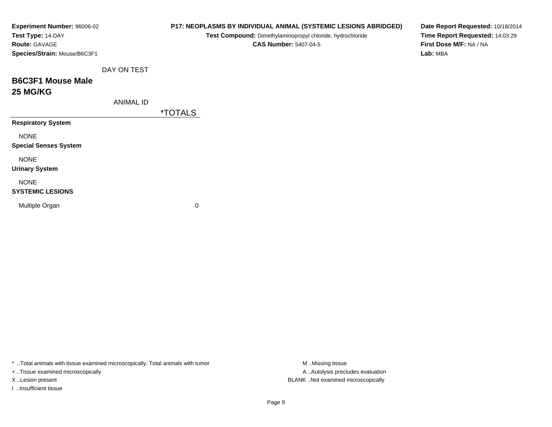| Experiment Number: 96006-02<br>Test Type: 14-DAY<br>Route: GAVAGE<br>Species/Strain: Mouse/B6C3F1 |                  |                       | P17: NEOPLASMS BY INDIVIDUAL ANIMAL (SYSTEMIC LESIONS ABRIDGED)<br>Test Compound: Dimethylaminopropyl chloride, hydrochloride<br><b>CAS Number: 5407-04-5</b> | Lab: MBA | Date Report Requested: 10/18/2014<br>Time Report Requested: 14:03:29<br>First Dose M/F: NA / NA |
|---------------------------------------------------------------------------------------------------|------------------|-----------------------|---------------------------------------------------------------------------------------------------------------------------------------------------------------|----------|-------------------------------------------------------------------------------------------------|
|                                                                                                   |                  |                       |                                                                                                                                                               |          |                                                                                                 |
|                                                                                                   | DAY ON TEST      |                       |                                                                                                                                                               |          |                                                                                                 |
| <b>B6C3F1 Mouse Male</b>                                                                          |                  |                       |                                                                                                                                                               |          |                                                                                                 |
| <b>25 MG/KG</b>                                                                                   |                  |                       |                                                                                                                                                               |          |                                                                                                 |
|                                                                                                   | <b>ANIMAL ID</b> |                       |                                                                                                                                                               |          |                                                                                                 |
|                                                                                                   |                  | <i><b>*TOTALS</b></i> |                                                                                                                                                               |          |                                                                                                 |
| <b>Respiratory System</b>                                                                         |                  |                       |                                                                                                                                                               |          |                                                                                                 |
| <b>NONE</b>                                                                                       |                  |                       |                                                                                                                                                               |          |                                                                                                 |
| <b>Special Senses System</b>                                                                      |                  |                       |                                                                                                                                                               |          |                                                                                                 |
| <b>NONE</b>                                                                                       |                  |                       |                                                                                                                                                               |          |                                                                                                 |
| <b>Urinary System</b>                                                                             |                  |                       |                                                                                                                                                               |          |                                                                                                 |
| <b>NONE</b>                                                                                       |                  |                       |                                                                                                                                                               |          |                                                                                                 |
| <b>SYSTEMIC LESIONS</b>                                                                           |                  |                       |                                                                                                                                                               |          |                                                                                                 |
| Multiple Organ                                                                                    |                  | 0                     |                                                                                                                                                               |          |                                                                                                 |
|                                                                                                   |                  |                       |                                                                                                                                                               |          |                                                                                                 |
|                                                                                                   |                  |                       |                                                                                                                                                               |          |                                                                                                 |

+ ..Tissue examined microscopically

I ..Insufficient tissue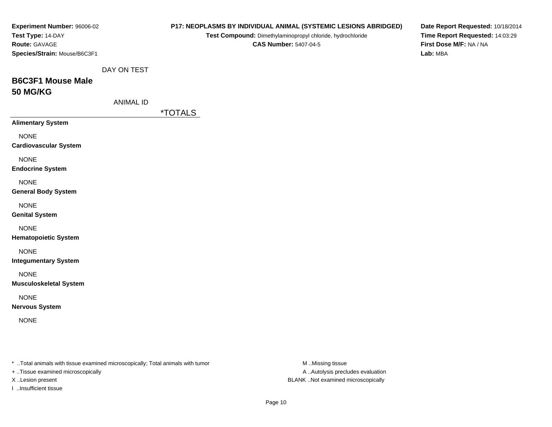| Experiment Number: 96006-02<br>Test Type: 14-DAY<br>Route: GAVAGE<br>Species/Strain: Mouse/B6C3F1 |                  |                       | <b>CAS Number: 5407-04-5</b> | P17: NEOPLASMS BY INDIVIDUAL ANIMAL (SYSTEMIC LESIONS ABRIDGED)<br>Test Compound: Dimethylaminopropyl chloride, hydrochloride | Date Report Requested: 10/18/2014<br>Time Report Requested: 14:03:29<br>First Dose M/F: NA / NA<br>Lab: MBA |
|---------------------------------------------------------------------------------------------------|------------------|-----------------------|------------------------------|-------------------------------------------------------------------------------------------------------------------------------|-------------------------------------------------------------------------------------------------------------|
|                                                                                                   | DAY ON TEST      |                       |                              |                                                                                                                               |                                                                                                             |
| <b>B6C3F1 Mouse Male</b><br><b>50 MG/KG</b>                                                       |                  |                       |                              |                                                                                                                               |                                                                                                             |
|                                                                                                   | <b>ANIMAL ID</b> |                       |                              |                                                                                                                               |                                                                                                             |
|                                                                                                   |                  | <i><b>*TOTALS</b></i> |                              |                                                                                                                               |                                                                                                             |
| <b>Alimentary System</b>                                                                          |                  |                       |                              |                                                                                                                               |                                                                                                             |
| <b>NONE</b><br><b>Cardiovascular System</b>                                                       |                  |                       |                              |                                                                                                                               |                                                                                                             |
| <b>NONE</b><br><b>Endocrine System</b>                                                            |                  |                       |                              |                                                                                                                               |                                                                                                             |
| <b>NONE</b><br><b>General Body System</b>                                                         |                  |                       |                              |                                                                                                                               |                                                                                                             |
| <b>NONE</b><br><b>Genital System</b>                                                              |                  |                       |                              |                                                                                                                               |                                                                                                             |
| <b>NONE</b><br><b>Hematopoietic System</b>                                                        |                  |                       |                              |                                                                                                                               |                                                                                                             |
| <b>NONE</b><br><b>Integumentary System</b>                                                        |                  |                       |                              |                                                                                                                               |                                                                                                             |
| <b>NONE</b><br><b>Musculoskeletal System</b>                                                      |                  |                       |                              |                                                                                                                               |                                                                                                             |
| <b>NONE</b><br><b>Nervous System</b>                                                              |                  |                       |                              |                                                                                                                               |                                                                                                             |
| <b>NONE</b>                                                                                       |                  |                       |                              |                                                                                                                               |                                                                                                             |
|                                                                                                   |                  |                       |                              |                                                                                                                               |                                                                                                             |
| *  Total animals with tissue examined microscopically; Total animals with tumor                   |                  |                       |                              | M Missing tissue                                                                                                              |                                                                                                             |
| + Tissue examined microscopically                                                                 |                  |                       |                              | A  Autolysis precludes evaluation<br>BLANK Not examined microscopically                                                       |                                                                                                             |
| X Lesion present                                                                                  |                  |                       |                              |                                                                                                                               |                                                                                                             |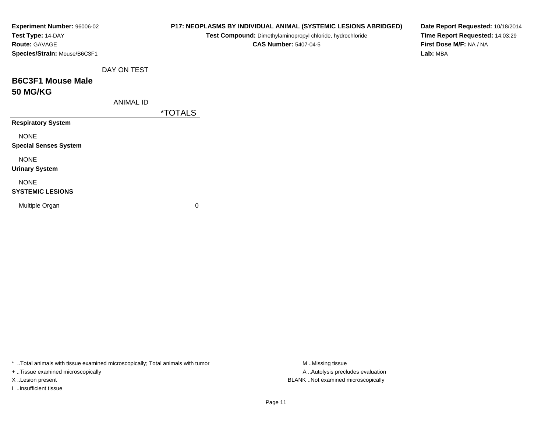| Experiment Number: 96006-02<br>Test Type: 14-DAY<br>Route: GAVAGE<br>Species/Strain: Mouse/B6C3F1 |                  |                       | P17: NEOPLASMS BY INDIVIDUAL ANIMAL (SYSTEMIC LESIONS ABRIDGED)<br>Test Compound: Dimethylaminopropyl chloride, hydrochloride<br><b>CAS Number: 5407-04-5</b> | Date Report Requested: 10/18/2014<br>Time Report Requested: 14:03:29<br>First Dose M/F: NA / NA<br>Lab: MBA |
|---------------------------------------------------------------------------------------------------|------------------|-----------------------|---------------------------------------------------------------------------------------------------------------------------------------------------------------|-------------------------------------------------------------------------------------------------------------|
|                                                                                                   | DAY ON TEST      |                       |                                                                                                                                                               |                                                                                                             |
| <b>B6C3F1 Mouse Male</b><br><b>50 MG/KG</b>                                                       |                  |                       |                                                                                                                                                               |                                                                                                             |
|                                                                                                   | <b>ANIMAL ID</b> |                       |                                                                                                                                                               |                                                                                                             |
|                                                                                                   |                  | <i><b>*TOTALS</b></i> |                                                                                                                                                               |                                                                                                             |
| <b>Respiratory System</b>                                                                         |                  |                       |                                                                                                                                                               |                                                                                                             |
| <b>NONE</b><br><b>Special Senses System</b>                                                       |                  |                       |                                                                                                                                                               |                                                                                                             |
| <b>NONE</b><br><b>Urinary System</b>                                                              |                  |                       |                                                                                                                                                               |                                                                                                             |
| <b>NONE</b><br><b>SYSTEMIC LESIONS</b>                                                            |                  |                       |                                                                                                                                                               |                                                                                                             |
| Multiple Organ                                                                                    |                  | 0                     |                                                                                                                                                               |                                                                                                             |

+ ..Tissue examined microscopically

I ..Insufficient tissue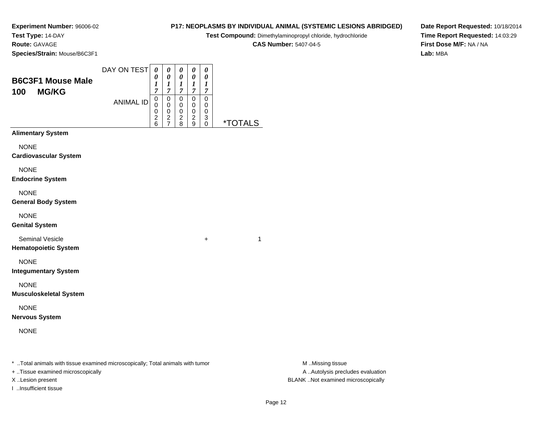**Experiment Number:** 96006-02**Test Type:** 14-DAY

## **Route:** GAVAGE

**Species/Strain:** Mouse/B6C3F1

### **P17: NEOPLASMS BY INDIVIDUAL ANIMAL (SYSTEMIC LESIONS ABRIDGED)Test Compound:** Dimethylaminopropyl chloride, hydrochloride**CAS Number:** 5407-04-5

**Date Report Requested:** 10/18/2014**Time Report Requested:** 14:03:29**First Dose M/F:** NA / NA**Lab:** MBA

| <b>B6C3F1 Mouse Male</b><br><b>MG/KG</b><br>100       | DAY ON TEST      | 0<br>0<br>$\boldsymbol{l}$<br>$\overline{7}$             | $\pmb{\theta}$<br>$\pmb{\theta}$<br>1<br>7             | 0<br>0<br>$\boldsymbol{l}$<br>$\overline{7}$                   | 0<br>0<br>$\bm{l}$<br>$\overline{7}$                 | 0<br>0<br>1<br>$\boldsymbol{7}$ |                       |
|-------------------------------------------------------|------------------|----------------------------------------------------------|--------------------------------------------------------|----------------------------------------------------------------|------------------------------------------------------|---------------------------------|-----------------------|
|                                                       | <b>ANIMAL ID</b> | $\mathsf 0$<br>$\mathbf 0$<br>0<br>$\boldsymbol{2}$<br>6 | $\mathbf 0$<br>$\pmb{0}$<br>$\pmb{0}$<br>$\frac{2}{7}$ | $\pmb{0}$<br>$\mathbf 0$<br>$\pmb{0}$<br>$\boldsymbol{2}$<br>8 | 0<br>$\mathbf 0$<br>$\pmb{0}$<br>$\overline{c}$<br>9 | 0<br>0<br>0<br>3<br>0           | <i><b>*TOTALS</b></i> |
| <b>Alimentary System</b>                              |                  |                                                          |                                                        |                                                                |                                                      |                                 |                       |
| <b>NONE</b><br><b>Cardiovascular System</b>           |                  |                                                          |                                                        |                                                                |                                                      |                                 |                       |
| <b>NONE</b><br><b>Endocrine System</b>                |                  |                                                          |                                                        |                                                                |                                                      |                                 |                       |
| <b>NONE</b><br><b>General Body System</b>             |                  |                                                          |                                                        |                                                                |                                                      |                                 |                       |
| <b>NONE</b><br><b>Genital System</b>                  |                  |                                                          |                                                        |                                                                |                                                      |                                 |                       |
| <b>Seminal Vesicle</b><br><b>Hematopoietic System</b> |                  |                                                          |                                                        |                                                                |                                                      | +                               | 1                     |
| <b>NONE</b><br><b>Integumentary System</b>            |                  |                                                          |                                                        |                                                                |                                                      |                                 |                       |
| <b>NONE</b><br><b>Musculoskeletal System</b>          |                  |                                                          |                                                        |                                                                |                                                      |                                 |                       |
| <b>NONE</b><br><b>Nervous System</b>                  |                  |                                                          |                                                        |                                                                |                                                      |                                 |                       |
| <b>NONE</b>                                           |                  |                                                          |                                                        |                                                                |                                                      |                                 |                       |
|                                                       |                  |                                                          |                                                        |                                                                |                                                      |                                 |                       |

\* ..Total animals with tissue examined microscopically; Total animals with tumor **M** . Missing tissue M ..Missing tissue

+ ..Tissue examined microscopically

I ..Insufficient tissue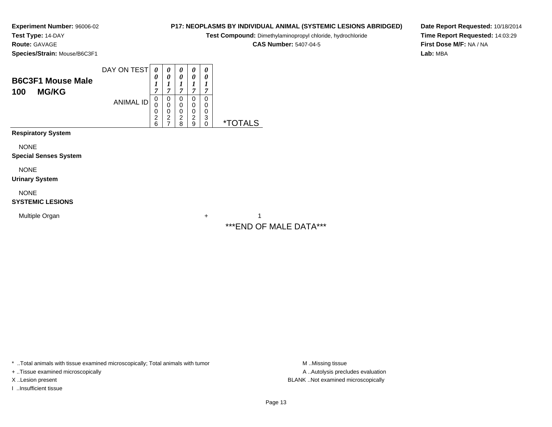**Experiment Number:** 96006-02**Test Type:** 14-DAY

### **Route:** GAVAGE

**Species/Strain:** Mouse/B6C3F1

| <b>B6C3F1 Mouse Male</b><br><b>MG/KG</b><br>100 | DAY ON TEST      | 0<br>0<br>1<br>7                   | 0<br>0<br>1<br>7                             | 0<br>0<br>7                                  | 0<br>0<br>7                        | 0<br>0<br>7           |                       |
|-------------------------------------------------|------------------|------------------------------------|----------------------------------------------|----------------------------------------------|------------------------------------|-----------------------|-----------------------|
|                                                 | <b>ANIMAL ID</b> | 0<br>0<br>0<br>$\overline{c}$<br>6 | 0<br>$\mathbf 0$<br>0<br>$\overline{c}$<br>7 | 0<br>$\mathbf 0$<br>0<br>$\overline{2}$<br>8 | 0<br>0<br>0<br>$\overline{2}$<br>9 | 0<br>0<br>0<br>3<br>0 | <i><b>*TOTALS</b></i> |
| <b>Respiratory System</b>                       |                  |                                    |                                              |                                              |                                    |                       |                       |
| <b>NONE</b><br><b>Special Senses System</b>     |                  |                                    |                                              |                                              |                                    |                       |                       |

NONE

**Urinary System**

NONE

#### **SYSTEMIC LESIONS**

Multiple Organn  $+$ 

**P17: NEOPLASMS BY INDIVIDUAL ANIMAL (SYSTEMIC LESIONS ABRIDGED)**

**Test Compound:** Dimethylaminopropyl chloride, hydrochloride

**CAS Number:** 5407-04-5

**Date Report Requested:** 10/18/2014**Time Report Requested:** 14:03:29**First Dose M/F:** NA / NA**Lab:** MBA

 $+$  1 \*\*\*END OF MALE DATA\*\*\*

\* ..Total animals with tissue examined microscopically; Total animals with tumor **M** ...Missing tissue M ...Missing tissue

+ ..Tissue examined microscopically

I ..Insufficient tissue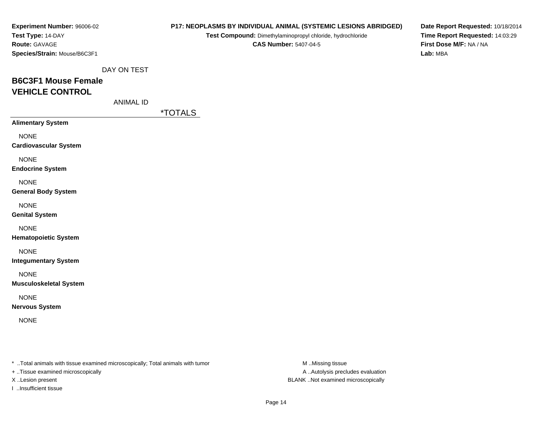| <b>Experiment Number: 96006-02</b> |  |  |  |  |  |  |
|------------------------------------|--|--|--|--|--|--|
| Test Type: 14-DAY                  |  |  |  |  |  |  |
| <b>Route: GAVAGE</b>               |  |  |  |  |  |  |
| Species/Strain: Mouse/B6C3F1       |  |  |  |  |  |  |

**Test Compound:** Dimethylaminopropyl chloride, hydrochloride**CAS Number:** 5407-04-5

**Date Report Requested:** 10/18/2014**Time Report Requested:** 14:03:29**First Dose M/F:** NA / NA**Lab:** MBA

DAY ON TEST

# **B6C3F1 Mouse FemaleVEHICLE CONTROL**

ANIMAL ID

\*TOTALS

| <b>Alimentary System</b>     |
|------------------------------|
| NONF                         |
| <b>Cardiovascular System</b> |
| NONF                         |
| <b>Endocrine System</b>      |
| NONF                         |
| <b>General Body System</b>   |
| NONF                         |
| <b>Genital System</b>        |
| NONE                         |

**Hematopoietic System**

NONE

**Integumentary System**

NONE

**Musculoskeletal System**

NONE

**Nervous System**

NONE

\* ..Total animals with tissue examined microscopically; Total animals with tumor **M** ...Missing tissue M ...Missing tissue

+ ..Tissue examined microscopically

I ..Insufficient tissue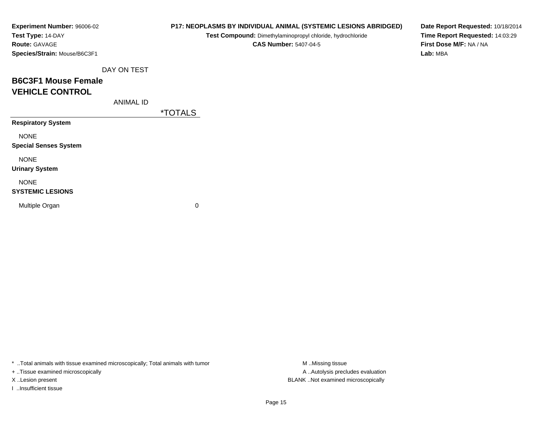| Experiment Number: 96006-02  |
|------------------------------|
| Test Type: 14-DAY            |
| <b>Route: GAVAGE</b>         |
| Species/Strain: Mouse/B6C3F1 |

**Test Compound:** Dimethylaminopropyl chloride, hydrochloride**CAS Number:** 5407-04-5

**Date Report Requested:** 10/18/2014**Time Report Requested:** 14:03:29**First Dose M/F:** NA / NA**Lab:** MBA

DAY ON TEST

# **B6C3F1 Mouse FemaleVEHICLE CONTROL**

ANIMAL ID

\*TOTALS

**Respiratory System**

NONE

**Special Senses System**

NONE

**Urinary System**

NONE

#### **SYSTEMIC LESIONS**

Multiple Organ

 $\mathbf n$  0

\* ..Total animals with tissue examined microscopically; Total animals with tumor **M** ...Missing tissue M ...Missing tissue

+ ..Tissue examined microscopically

I ..Insufficient tissue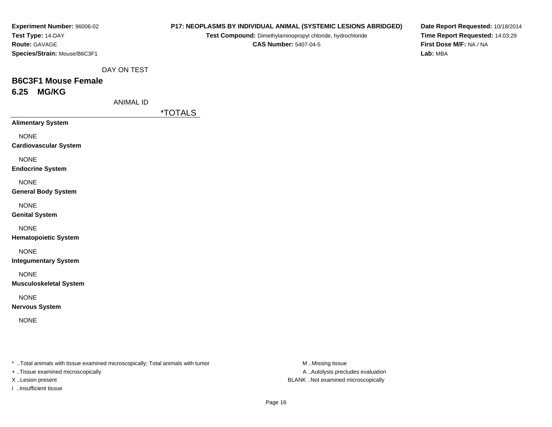| <b>Experiment Number: 96006-02</b> |
|------------------------------------|
| Test Type: 14-DAY                  |
| <b>Route: GAVAGE</b>               |
| Species/Strain: Mouse/B6C3F1       |

**Test Compound:** Dimethylaminopropyl chloride, hydrochloride**CAS Number:** 5407-04-5

**Date Report Requested:** 10/18/2014**Time Report Requested:** 14:03:29**First Dose M/F:** NA / NA**Lab:** MBA

DAY ON TEST

# **B6C3F1 Mouse Female6.25 MG/KG**

ANIMAL ID

\*TOTALS

**Alimentary System**

NONE

**Cardiovascular System**

NONE

**Endocrine System**

NONE

**General Body System**

NONE

**Genital System**

NONE

**Hematopoietic System**

NONE

**Integumentary System**

NONE

**Musculoskeletal System**

NONE

**Nervous System**

NONE

\* ..Total animals with tissue examined microscopically; Total animals with tumor **M** ..Missing tissue M ..Missing tissue

+ ..Tissue examined microscopically

I ..Insufficient tissue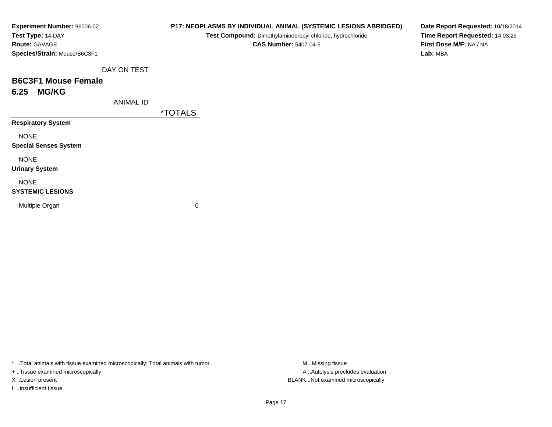| Experiment Number: 96006-02  |                  | P17: NEOPLASMS BY INDIVIDUAL ANIMAL (SYSTEMIC LESIONS ABRIDGED) |  |  |  |  |  |  |
|------------------------------|------------------|-----------------------------------------------------------------|--|--|--|--|--|--|
| Test Type: 14-DAY            |                  | Test Compound: Dimethylaminopropyl chloride, hydrochloride      |  |  |  |  |  |  |
| Route: GAVAGE                |                  | <b>CAS Number: 5407-04-5</b>                                    |  |  |  |  |  |  |
| Species/Strain: Mouse/B6C3F1 |                  |                                                                 |  |  |  |  |  |  |
|                              | DAY ON TEST      |                                                                 |  |  |  |  |  |  |
| <b>B6C3F1 Mouse Female</b>   |                  |                                                                 |  |  |  |  |  |  |
| <b>MG/KG</b><br>6.25         |                  |                                                                 |  |  |  |  |  |  |
|                              | <b>ANIMAL ID</b> |                                                                 |  |  |  |  |  |  |
|                              |                  | <i><b>*TOTALS</b></i>                                           |  |  |  |  |  |  |
| <b>Respiratory System</b>    |                  |                                                                 |  |  |  |  |  |  |
| <b>NONE</b>                  |                  |                                                                 |  |  |  |  |  |  |
| <b>Special Senses System</b> |                  |                                                                 |  |  |  |  |  |  |
| <b>NONE</b>                  |                  |                                                                 |  |  |  |  |  |  |
| <b>Urinary System</b>        |                  |                                                                 |  |  |  |  |  |  |
| <b>NONE</b>                  |                  |                                                                 |  |  |  |  |  |  |
| <b>SYSTEMIC LESIONS</b>      |                  |                                                                 |  |  |  |  |  |  |
| Multiple Organ               |                  | 0                                                               |  |  |  |  |  |  |
|                              |                  |                                                                 |  |  |  |  |  |  |

+ ..Tissue examined microscopically

I ..Insufficient tissue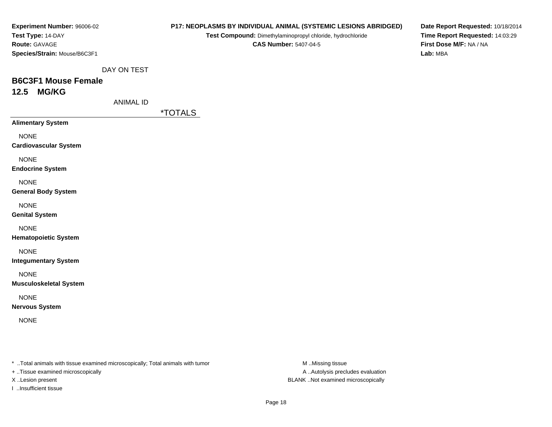| <b>Experiment Number: 96006-02</b> |
|------------------------------------|
| Test Type: 14-DAY                  |
| <b>Route: GAVAGE</b>               |
| Species/Strain: Mouse/B6C3F1       |

**Test Compound:** Dimethylaminopropyl chloride, hydrochloride**CAS Number:** 5407-04-5

**Date Report Requested:** 10/18/2014**Time Report Requested:** 14:03:29**First Dose M/F:** NA / NA**Lab:** MBA

DAY ON TEST

### **B6C3F1 Mouse Female12.5 MG/KG**

ANIMAL ID

\*TOTALS

**Alimentary System**

NONE

**Cardiovascular System**

NONE

**Endocrine System**

NONE

**General Body System**

NONE

**Genital System**

NONE

**Hematopoietic System**

NONE

**Integumentary System**

NONE

**Musculoskeletal System**

NONE

**Nervous System**

NONE

\* ..Total animals with tissue examined microscopically; Total animals with tumor **M** ..Missing tissue M ..Missing tissue

+ ..Tissue examined microscopically

I ..Insufficient tissue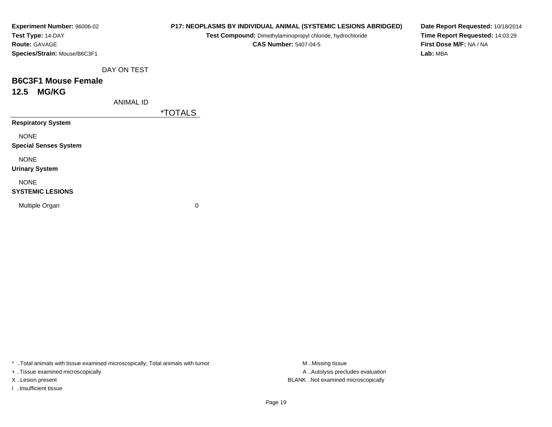| Experiment Number: 96006-02  |                  | P17: NEOPLASMS BY INDIVIDUAL ANIMAL (SYSTEMIC LESIONS ABRIDGED)                            |  |  |  |  |  |
|------------------------------|------------------|--------------------------------------------------------------------------------------------|--|--|--|--|--|
| Test Type: 14-DAY            |                  | Test Compound: Dimethylaminopropyl chloride, hydrochloride<br><b>CAS Number: 5407-04-5</b> |  |  |  |  |  |
| <b>Route: GAVAGE</b>         |                  |                                                                                            |  |  |  |  |  |
| Species/Strain: Mouse/B6C3F1 |                  |                                                                                            |  |  |  |  |  |
|                              | DAY ON TEST      |                                                                                            |  |  |  |  |  |
| <b>B6C3F1 Mouse Female</b>   |                  |                                                                                            |  |  |  |  |  |
| <b>MG/KG</b><br>12.5         |                  |                                                                                            |  |  |  |  |  |
|                              | <b>ANIMAL ID</b> |                                                                                            |  |  |  |  |  |
|                              |                  | <i><b>*TOTALS</b></i>                                                                      |  |  |  |  |  |
| <b>Respiratory System</b>    |                  |                                                                                            |  |  |  |  |  |
| <b>NONE</b>                  |                  |                                                                                            |  |  |  |  |  |
| <b>Special Senses System</b> |                  |                                                                                            |  |  |  |  |  |
| <b>NONE</b>                  |                  |                                                                                            |  |  |  |  |  |
| <b>Urinary System</b>        |                  |                                                                                            |  |  |  |  |  |
| <b>NONE</b>                  |                  |                                                                                            |  |  |  |  |  |
| <b>SYSTEMIC LESIONS</b>      |                  |                                                                                            |  |  |  |  |  |

**Date Report Requested:** 10/18/2014**Time Report Requested:** 14:03:29**First Dose M/F:** NA / NA**Lab:** MBA

\* ..Total animals with tissue examined microscopically; Total animals with tumor **M** ..Missing tissue M ..Missing tissue

 $\mathbf n$  0

+ ..Tissue examined microscopically

I ..Insufficient tissue

Multiple Organ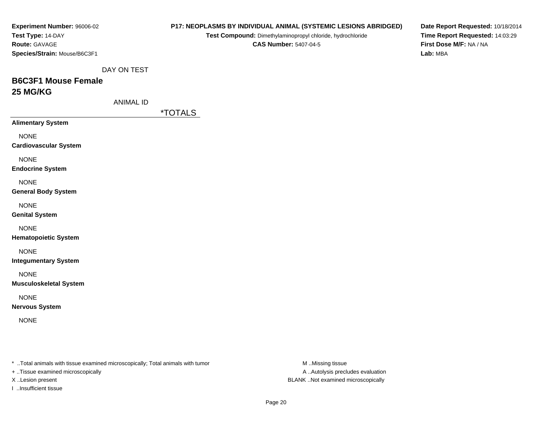| Experiment Number: 96006-02                                                    |                  |         |                                                            |                              | P17: NEOPLASMS BY INDIVIDUAL ANIMAL (SYSTEMIC LESIONS ABRIDGED) | Date Report Requested: 10/18/2014 |
|--------------------------------------------------------------------------------|------------------|---------|------------------------------------------------------------|------------------------------|-----------------------------------------------------------------|-----------------------------------|
| Test Type: 14-DAY                                                              |                  |         | Test Compound: Dimethylaminopropyl chloride, hydrochloride |                              |                                                                 | Time Report Requested: 14:03:29   |
| Route: GAVAGE                                                                  |                  |         |                                                            | <b>CAS Number: 5407-04-5</b> |                                                                 | First Dose M/F: NA / NA           |
| Species/Strain: Mouse/B6C3F1                                                   |                  |         |                                                            |                              |                                                                 | Lab: MBA                          |
|                                                                                |                  |         |                                                            |                              |                                                                 |                                   |
|                                                                                | DAY ON TEST      |         |                                                            |                              |                                                                 |                                   |
| <b>B6C3F1 Mouse Female</b>                                                     |                  |         |                                                            |                              |                                                                 |                                   |
| 25 MG/KG                                                                       |                  |         |                                                            |                              |                                                                 |                                   |
|                                                                                | <b>ANIMAL ID</b> |         |                                                            |                              |                                                                 |                                   |
|                                                                                |                  | *TOTALS |                                                            |                              |                                                                 |                                   |
| <b>Alimentary System</b>                                                       |                  |         |                                                            |                              |                                                                 |                                   |
|                                                                                |                  |         |                                                            |                              |                                                                 |                                   |
| <b>NONE</b>                                                                    |                  |         |                                                            |                              |                                                                 |                                   |
| <b>Cardiovascular System</b>                                                   |                  |         |                                                            |                              |                                                                 |                                   |
| <b>NONE</b>                                                                    |                  |         |                                                            |                              |                                                                 |                                   |
| <b>Endocrine System</b>                                                        |                  |         |                                                            |                              |                                                                 |                                   |
| <b>NONE</b>                                                                    |                  |         |                                                            |                              |                                                                 |                                   |
| <b>General Body System</b>                                                     |                  |         |                                                            |                              |                                                                 |                                   |
|                                                                                |                  |         |                                                            |                              |                                                                 |                                   |
| <b>NONE</b>                                                                    |                  |         |                                                            |                              |                                                                 |                                   |
| <b>Genital System</b>                                                          |                  |         |                                                            |                              |                                                                 |                                   |
| <b>NONE</b>                                                                    |                  |         |                                                            |                              |                                                                 |                                   |
| <b>Hematopoietic System</b>                                                    |                  |         |                                                            |                              |                                                                 |                                   |
|                                                                                |                  |         |                                                            |                              |                                                                 |                                   |
| <b>NONE</b>                                                                    |                  |         |                                                            |                              |                                                                 |                                   |
| <b>Integumentary System</b>                                                    |                  |         |                                                            |                              |                                                                 |                                   |
| <b>NONE</b>                                                                    |                  |         |                                                            |                              |                                                                 |                                   |
| <b>Musculoskeletal System</b>                                                  |                  |         |                                                            |                              |                                                                 |                                   |
|                                                                                |                  |         |                                                            |                              |                                                                 |                                   |
| <b>NONE</b>                                                                    |                  |         |                                                            |                              |                                                                 |                                   |
| <b>Nervous System</b>                                                          |                  |         |                                                            |                              |                                                                 |                                   |
| <b>NONE</b>                                                                    |                  |         |                                                            |                              |                                                                 |                                   |
|                                                                                |                  |         |                                                            |                              |                                                                 |                                   |
|                                                                                |                  |         |                                                            |                              |                                                                 |                                   |
|                                                                                |                  |         |                                                            |                              |                                                                 |                                   |
| * Total animals with tissue examined microscopically; Total animals with tumor |                  |         |                                                            |                              | M Missing tissue                                                |                                   |
| + Tissue examined microscopically                                              |                  |         |                                                            |                              | A Autolysis precludes evaluation                                |                                   |
| X Lesion present                                                               |                  |         |                                                            |                              | BLANK Not examined microscopically                              |                                   |

I ..Insufficient tissue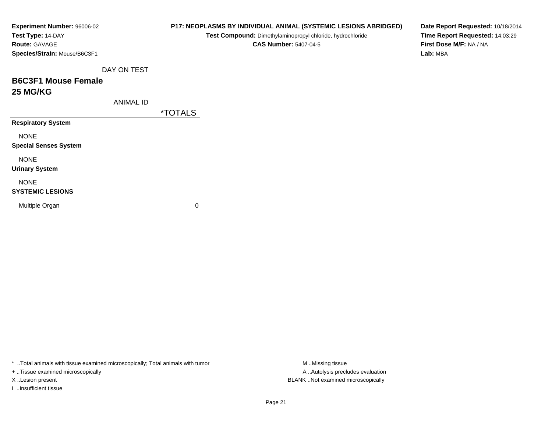| Experiment Number: 96006-02  |                  | P17: NEOPLASMS BY INDIVIDUAL ANIMAL (SYSTEMIC LESIONS ABRIDGED) | Date Report Requested: 10/18/2014 |
|------------------------------|------------------|-----------------------------------------------------------------|-----------------------------------|
| Test Type: 14-DAY            |                  | Test Compound: Dimethylaminopropyl chloride, hydrochloride      | Time Report Requested: 14:03:29   |
| Route: GAVAGE                |                  | <b>CAS Number: 5407-04-5</b>                                    | First Dose M/F: NA / NA           |
| Species/Strain: Mouse/B6C3F1 |                  |                                                                 | Lab: MBA                          |
|                              | DAY ON TEST      |                                                                 |                                   |
| <b>B6C3F1 Mouse Female</b>   |                  |                                                                 |                                   |
| <b>25 MG/KG</b>              |                  |                                                                 |                                   |
|                              | <b>ANIMAL ID</b> |                                                                 |                                   |
|                              |                  | <i><b>*TOTALS</b></i>                                           |                                   |
| <b>Respiratory System</b>    |                  |                                                                 |                                   |
| <b>NONE</b>                  |                  |                                                                 |                                   |
| <b>Special Senses System</b> |                  |                                                                 |                                   |
| <b>NONE</b>                  |                  |                                                                 |                                   |
| <b>Urinary System</b>        |                  |                                                                 |                                   |
| <b>NONE</b>                  |                  |                                                                 |                                   |
| <b>SYSTEMIC LESIONS</b>      |                  |                                                                 |                                   |
| Multiple Organ               |                  | $\pmb{0}$                                                       |                                   |
|                              |                  |                                                                 |                                   |
|                              |                  |                                                                 |                                   |

+ ..Tissue examined microscopically

I ..Insufficient tissue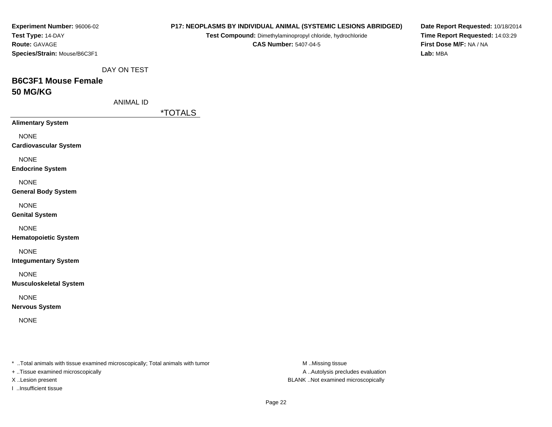| Experiment Number: 96006-02                                                    |                  |         |                                                            |                              | P17: NEOPLASMS BY INDIVIDUAL ANIMAL (SYSTEMIC LESIONS ABRIDGED) | Date Report Requested: 10/18/2014 |
|--------------------------------------------------------------------------------|------------------|---------|------------------------------------------------------------|------------------------------|-----------------------------------------------------------------|-----------------------------------|
| Test Type: 14-DAY                                                              |                  |         | Test Compound: Dimethylaminopropyl chloride, hydrochloride |                              |                                                                 | Time Report Requested: 14:03:29   |
| Route: GAVAGE                                                                  |                  |         |                                                            | <b>CAS Number: 5407-04-5</b> |                                                                 | First Dose M/F: NA / NA           |
| Species/Strain: Mouse/B6C3F1                                                   |                  |         |                                                            |                              |                                                                 | Lab: MBA                          |
|                                                                                |                  |         |                                                            |                              |                                                                 |                                   |
|                                                                                | DAY ON TEST      |         |                                                            |                              |                                                                 |                                   |
| <b>B6C3F1 Mouse Female</b>                                                     |                  |         |                                                            |                              |                                                                 |                                   |
| 50 MG/KG                                                                       |                  |         |                                                            |                              |                                                                 |                                   |
|                                                                                | <b>ANIMAL ID</b> |         |                                                            |                              |                                                                 |                                   |
|                                                                                |                  | *TOTALS |                                                            |                              |                                                                 |                                   |
| <b>Alimentary System</b>                                                       |                  |         |                                                            |                              |                                                                 |                                   |
| <b>NONE</b>                                                                    |                  |         |                                                            |                              |                                                                 |                                   |
| <b>Cardiovascular System</b>                                                   |                  |         |                                                            |                              |                                                                 |                                   |
|                                                                                |                  |         |                                                            |                              |                                                                 |                                   |
| <b>NONE</b>                                                                    |                  |         |                                                            |                              |                                                                 |                                   |
| <b>Endocrine System</b>                                                        |                  |         |                                                            |                              |                                                                 |                                   |
| <b>NONE</b>                                                                    |                  |         |                                                            |                              |                                                                 |                                   |
| <b>General Body System</b>                                                     |                  |         |                                                            |                              |                                                                 |                                   |
|                                                                                |                  |         |                                                            |                              |                                                                 |                                   |
| <b>NONE</b>                                                                    |                  |         |                                                            |                              |                                                                 |                                   |
| <b>Genital System</b>                                                          |                  |         |                                                            |                              |                                                                 |                                   |
| <b>NONE</b>                                                                    |                  |         |                                                            |                              |                                                                 |                                   |
| <b>Hematopoietic System</b>                                                    |                  |         |                                                            |                              |                                                                 |                                   |
| <b>NONE</b>                                                                    |                  |         |                                                            |                              |                                                                 |                                   |
| <b>Integumentary System</b>                                                    |                  |         |                                                            |                              |                                                                 |                                   |
|                                                                                |                  |         |                                                            |                              |                                                                 |                                   |
| <b>NONE</b>                                                                    |                  |         |                                                            |                              |                                                                 |                                   |
| <b>Musculoskeletal System</b>                                                  |                  |         |                                                            |                              |                                                                 |                                   |
| <b>NONE</b>                                                                    |                  |         |                                                            |                              |                                                                 |                                   |
| <b>Nervous System</b>                                                          |                  |         |                                                            |                              |                                                                 |                                   |
| <b>NONE</b>                                                                    |                  |         |                                                            |                              |                                                                 |                                   |
|                                                                                |                  |         |                                                            |                              |                                                                 |                                   |
|                                                                                |                  |         |                                                            |                              |                                                                 |                                   |
|                                                                                |                  |         |                                                            |                              |                                                                 |                                   |
|                                                                                |                  |         |                                                            |                              |                                                                 |                                   |
| * Total animals with tissue examined microscopically; Total animals with tumor |                  |         |                                                            |                              | M Missing tissue                                                |                                   |
| + Tissue examined microscopically                                              |                  |         |                                                            |                              | A Autolysis precludes evaluation                                |                                   |
| X Lesion present                                                               |                  |         |                                                            |                              | BLANK Not examined microscopically                              |                                   |

I ..Insufficient tissue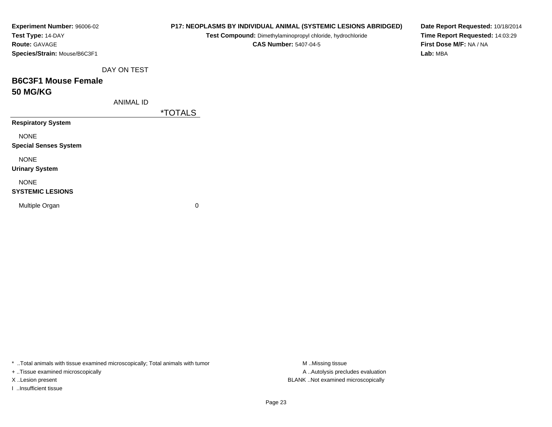| Experiment Number: 96006-02  |                  |                       | P17: NEOPLASMS BY INDIVIDUAL ANIMAL (SYSTEMIC LESIONS ABRIDGED) | Date Report Requested: 10/18/2014                          |  |
|------------------------------|------------------|-----------------------|-----------------------------------------------------------------|------------------------------------------------------------|--|
| Test Type: 14-DAY            |                  |                       | Test Compound: Dimethylaminopropyl chloride, hydrochloride      | Time Report Requested: 14:03:29<br>First Dose M/F: NA / NA |  |
| <b>Route: GAVAGE</b>         |                  |                       | <b>CAS Number: 5407-04-5</b>                                    |                                                            |  |
| Species/Strain: Mouse/B6C3F1 |                  |                       |                                                                 | Lab: MBA                                                   |  |
|                              | DAY ON TEST      |                       |                                                                 |                                                            |  |
| <b>B6C3F1 Mouse Female</b>   |                  |                       |                                                                 |                                                            |  |
| <b>50 MG/KG</b>              |                  |                       |                                                                 |                                                            |  |
|                              | <b>ANIMAL ID</b> |                       |                                                                 |                                                            |  |
|                              |                  | <i><b>*TOTALS</b></i> |                                                                 |                                                            |  |
| <b>Respiratory System</b>    |                  |                       |                                                                 |                                                            |  |
| <b>NONE</b>                  |                  |                       |                                                                 |                                                            |  |
| <b>Special Senses System</b> |                  |                       |                                                                 |                                                            |  |
| <b>NONE</b>                  |                  |                       |                                                                 |                                                            |  |
| <b>Urinary System</b>        |                  |                       |                                                                 |                                                            |  |
| <b>NONE</b>                  |                  |                       |                                                                 |                                                            |  |
| <b>SYSTEMIC LESIONS</b>      |                  |                       |                                                                 |                                                            |  |
| Multiple Organ               |                  | 0                     |                                                                 |                                                            |  |
|                              |                  |                       |                                                                 |                                                            |  |
|                              |                  |                       |                                                                 |                                                            |  |

+ ..Tissue examined microscopically

I ..Insufficient tissue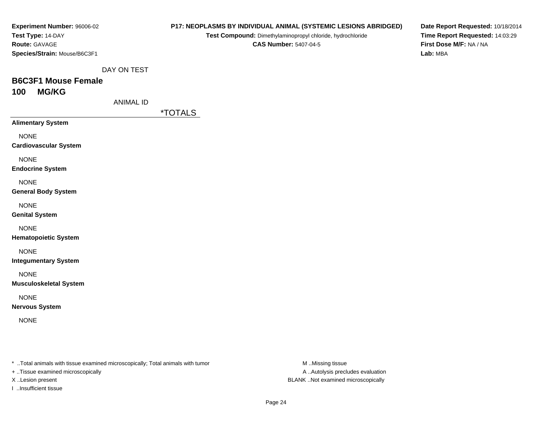| Experiment Number: 96006-02  |
|------------------------------|
| Test Type: 14-DAY            |
| <b>Route: GAVAGE</b>         |
| Species/Strain: Mouse/B6C3F1 |

**Test Compound:** Dimethylaminopropyl chloride, hydrochloride**CAS Number:** 5407-04-5

**Date Report Requested:** 10/18/2014**Time Report Requested:** 14:03:29**First Dose M/F:** NA / NA**Lab:** MBA

DAY ON TEST

## **B6C3F1 Mouse Female100 MG/KG**

ANIMAL ID

\*TOTALS

**Alimentary System**

NONE

**Cardiovascular System**

NONE

**Endocrine System**

NONE

**General Body System**

NONE

**Genital System**

NONE

**Hematopoietic System**

NONE

**Integumentary System**

NONE

**Musculoskeletal System**

NONE

**Nervous System**

NONE

\* ..Total animals with tissue examined microscopically; Total animals with tumor **M** ..Missing tissue M ..Missing tissue

+ ..Tissue examined microscopically

I ..Insufficient tissue